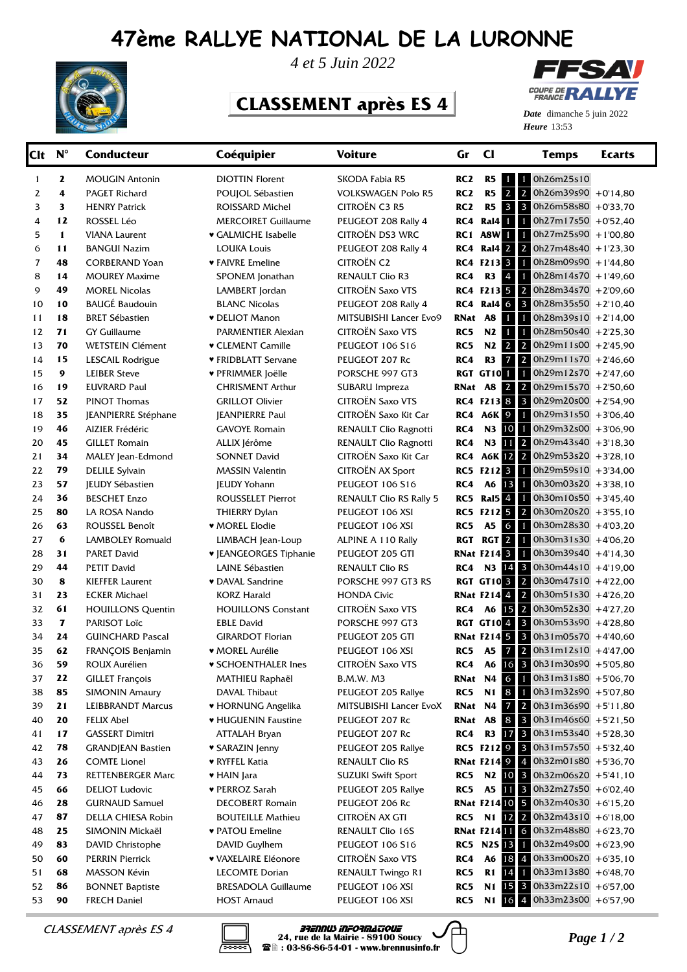## **47ème RALLYE NATIONAL DE LA LURONNE**



*4 et 5 Juin 2022*

## **CLASSEMENT après ES 4**



**Heure** 13:53 *Date* dimanche 5 juin 2022

| Clt            | $N^{\circ}$  | <b>Conducteur</b>        | Coéquipier                    | <b>Voiture</b>                 | Gr              | $_{\rm cl}$                       | <b>Temps</b>                                                                                   | <b>Ecarts</b> |
|----------------|--------------|--------------------------|-------------------------------|--------------------------------|-----------------|-----------------------------------|------------------------------------------------------------------------------------------------|---------------|
| 1              | 2            | <b>MOUGIN Antonin</b>    | <b>DIOTTIN Florent</b>        | SKODA Fabia R5                 | RC <sub>2</sub> | R5<br>$\mathbf{1}$                | 0h26m25s10<br>$\mathbf{1}$                                                                     |               |
| 2              | 4            | <b>PAGET Richard</b>     | POUJOL Sébastien              | <b>VOLKSWAGEN Polo R5</b>      | RC <sub>2</sub> | $2\sqrt{2}$<br>R5                 | $0h26m39s90 + 0'14,80$                                                                         |               |
| 3              | 3            | <b>HENRY Patrick</b>     | ROISSARD Michel               | CITROËN C3 R5                  | RC <sub>2</sub> | $3 \mid 3$<br>R <sub>5</sub>      | $0h26m58s80 + 0'33.70$                                                                         |               |
| 4              | 12           | ROSSEL Léo               | <b>MERCOIRET Guillaume</b>    | PEUGEOT 208 Rally 4            | RC4             | Ral4 1 1                          | $0h27m17s50$ +0'52,40                                                                          |               |
| 5              | $\mathbf{1}$ | <b>VIANA Laurent</b>     | ♥ GALMICHE Isabelle           | CITROËN DS3 WRC                | RC <sub>1</sub> | <b>A8W 1 1</b>                    | $0h27m25s90 + 1'00,80$                                                                         |               |
| 6              | 11           | <b>BANGUI Nazim</b>      | <b>LOUKA Louis</b>            | PEUGEOT 208 Rally 4            | RC4             | Ral4 2 2                          | $0h27m48s40 + 1'23,30$                                                                         |               |
| $\overline{7}$ | 48           | <b>CORBERAND Yoan</b>    | ♥ FAIVRE Emeline              | <b>CITROËN C2</b>              |                 | RC4 F213 3 1                      | $0h28m09s90 + 1'44,80$                                                                         |               |
| 8              | 14           | <b>MOUREY Maxime</b>     | SPONEM Jonathan               | <b>RENAULT Clio R3</b>         | RC4             | R3 4 1                            | $0h28m14s70 + 149,60$                                                                          |               |
| 9              | 49           | <b>MOREL Nicolas</b>     | LAMBERT Jordan                | <b>CITROËN Saxo VTS</b>        |                 | RC4 F213 5 2                      | $0h28m34s70 + 2'09,60$                                                                         |               |
| 10             | 10           | <b>BAUGÉ Baudouin</b>    | <b>BLANC Nicolas</b>          | PEUGEOT 208 Rally 4            | RC4             | Ral4 6 3                          | $0h28m35s50 + 2'10,40$                                                                         |               |
| 11             | 18           | <b>BRET Sébastien</b>    | <b>v</b> DELIOT Manon         | MITSUBISHI Lancer Evo9         | RNat            | <b>A8</b><br>$1 \mid 1 \mid$      | $0h28m39s10 + 2'14,00$                                                                         |               |
| 12             | 71           | <b>GY Guillaume</b>      | PARMENTIER Alexian            | CITROËN Saxo VTS               | RC5             | N2                                | $0h28m50s40 + 2'25,30$                                                                         |               |
| 13             | 70           | <b>WETSTEIN Clément</b>  | <b>v</b> CLEMENT Camille      | <b>PEUGEOT 106 S16</b>         | RC5             | $2 \mid 2 \mid$<br>N2             | $0h29m11s00 + 2'45,90$                                                                         |               |
| 14             | 15           | LESCAIL Rodrigue         | ♥ FRIDBLATT Servane           | PEUGEOT 207 Rc                 | RC4             | $7\overline{\phantom{1}}$ 2<br>R3 | $0h29m11s70 + 2'46,60$                                                                         |               |
| 15             | 9            | <b>LEIBER Steve</b>      | ♥ PFRIMMER Joëlle             | PORSCHE 997 GT3                |                 | <b>RGT GT10 1 1</b>               | $0h29m12s70 + 2'47,60$                                                                         |               |
| 16             | 19           | <b>EUVRARD Paul</b>      | <b>CHRISMENT Arthur</b>       | SUBARU Impreza                 | RNat A8         | $2 \mid 2 \mid$                   | $0h29m15s70$ +2'50.60                                                                          |               |
| 17             | 52           | <b>PINOT Thomas</b>      | <b>GRILLOT Olivier</b>        | CITROËN Saxo VTS               |                 | RC4 F213 8 3                      | 0h29m20s00 +2'54,90                                                                            |               |
| 18             | 35           | JEANPIERRE Stéphane      | <b>IEANPIERRE Paul</b>        | CITROËN Saxo Kit Car           | RC4             | A6K 9 1                           | $0h29m31s50 + 3'06,40$                                                                         |               |
| 19             | 46           | AIZIER Frédéric          | <b>GAVOYE Romain</b>          | RENAULT Clio Ragnotti          | RC4             | N3 10                             | $\bullet$<br>$0h29m32s00$ +3'06,90                                                             |               |
| 20             | 45           | <b>GILLET Romain</b>     | ALLIX Jérôme                  | RENAULT Clio Ragnotti          | RC4             | $11 \mid 2$<br><b>N3</b>          | $0h29m43s40 + 3'18,30$                                                                         |               |
| 21             | 34           | MALEY Jean-Edmond        | <b>SONNET David</b>           | CITROËN Saxo Kit Car           | RC4             | A6K 12 2                          | $0h29m53s20 + 3'28.10$                                                                         |               |
| 22             | 79           | <b>DELILE Sylvain</b>    | <b>MASSIN Valentin</b>        | <b>CITROËN AX Sport</b>        | RC5             | F212311                           | 0h29m59s10 +3'34,00                                                                            |               |
| 23             | 57           | <b>JEUDY Sébastien</b>   | <b>JEUDY Yohann</b>           | PEUGEOT 106 S16                | RC4             | A6 13 1                           | $0h30m03s20$ + 3'38,10                                                                         |               |
| 24             | 36           | <b>BESCHET Enzo</b>      | <b>ROUSSELET Pierrot</b>      | <b>RENAULT Clio RS Rally 5</b> | RC5             | <b>Ral5</b> 4 1                   | $0h30m10s50$ +3'45,40                                                                          |               |
| 25             | 80           | LA ROSA Nando            | <b>THIERRY Dylan</b>          | PEUGEOT 106 XSI                | RC5             | F21252                            | $0h30m20s20$ + 3'55,10                                                                         |               |
| 26             | 63           | ROUSSEL Benoît           | ♥ MOREL Elodie                | PEUGEOT 106 XSI                | RC5             | <b>A5</b><br>$6 \mid 1$           | 0h30m28s30 +4'03,20                                                                            |               |
| 27             | 6            | LAMBOLEY Romuald         | LIMBACH Jean-Loup             | ALPINE A 110 Rally             | RGT             | <b>RGT 2 1</b>                    | $0h30m31s30$ +4'06,20                                                                          |               |
| 28             | 31           | <b>PARET David</b>       | <b>v</b> JEANGEORGES Tiphanie | PEUGEOT 205 GTI                |                 | <b>RNat F214 3 1</b>              | $0h30m39s40$ +4'14,30                                                                          |               |
| 29             | 44           | <b>PETIT David</b>       | LAINE Sébastien               | <b>RENAULT Clio RS</b>         | RC4             | N3 14 3                           | $0h30m44s10 + 4'19,00$                                                                         |               |
| 30             | 8            | <b>KIEFFER Laurent</b>   | ♥ DAVAL Sandrine              | PORSCHE 997 GT3 RS             |                 | <b>RGT GT10 3 2</b>               | $0h30m47s10$ +4'22,00                                                                          |               |
| 31             | 23           | <b>ECKER Michael</b>     | <b>KORZ Harald</b>            | <b>HONDA Civic</b>             |                 | <b>RNat F214 4 2</b>              | 0h30m51s30 +4'26,20                                                                            |               |
| 32             | 61           | <b>HOUILLONS Quentin</b> | <b>HOUILLONS Constant</b>     | CITROËN Saxo VTS               | RC4             | A6 15 2                           | $0h30m52s30 + 4'27,20$                                                                         |               |
| 33             | 7            | PARISOT Loïc             | <b>EBLE David</b>             | PORSCHE 997 GT3                |                 |                                   | RGT GT10 4 3 0h30m53s90 +4'28,80                                                               |               |
| 34             | 24           | <b>GUINCHARD Pascal</b>  | <b>GIRARDOT Florian</b>       | PEUGEOT 205 GTI                |                 |                                   | <b>RNat F214 5 3 0h31m05s70</b> +4'40,60                                                       |               |
| 35             | 62           | FRANÇOIS Benjamin        | ♥ MOREL Aurélie               | PEUGEOT 106 XSI                | RC5             | A5 7 2                            | $0h31m12s10$ +4'47,00                                                                          |               |
| 36             | 59           | ROUX Aurélien            | <b>v SCHOENTHALER Ines</b>    | <b>CITROEN Saxo VTS</b>        | RC4             | A6                                | 16 3 0h31m30s90 +5'05,80                                                                       |               |
| 37             | 22           | <b>GILLET François</b>   | MATHIEU Raphaël               | <b>B.M.W. M3</b>               | RNat            |                                   | N4 6 1 0h31m31s80 +5'06,70                                                                     |               |
| 38             | 85           | <b>SIMONIN Amaury</b>    | DAVAL Thibaut                 | PEUGEOT 205 Rallye             | RC5             |                                   | N1 8 1 0h31m32s90 +5'07,80                                                                     |               |
| 39             | 21           | <b>LEIBBRANDT Marcus</b> | • HORNUNG Angelika            | MITSUBISHI Lancer EvoX         | RNat N4         |                                   | $7\,$ 2 0h31m36s90 +5'11,80                                                                    |               |
| 40             | 20           | FELIX Abel               | • HUGUENIN Faustine           | PEUGEOT 207 Rc                 | RNat A8         |                                   | 8 3 0h31m46s60 +5'21,50                                                                        |               |
| 41             | 17           | <b>GASSERT Dimitri</b>   | <b>ATTALAH Bryan</b>          | PEUGEOT 207 Rc                 | RC4             |                                   | R3 17 3 $0h31m53s40 + 5'28,30$                                                                 |               |
| 42             | 78           | <b>GRANDJEAN Bastien</b> | ♥ SARAZIN Jenny               | PEUGEOT 205 Rallye             |                 |                                   | RC5 F212 9 3 Oh31m57s50 +5'32,40                                                               |               |
| 43             | 26           | <b>COMTE Lionel</b>      | ♥ RYFFEL Katia                | <b>RENAULT Clio RS</b>         |                 |                                   | <b>RNat F214 9 4 0h32m01s80</b> +5'36,70                                                       |               |
| 44             | 73           | RETTENBERGER Marc        | ♥ HAIN Jara                   | <b>SUZUKI Swift Sport</b>      | RC5             |                                   | N2 10 3 0h32m06s20 +5'41,10                                                                    |               |
| 45             | 66           | <b>DELIOT Ludovic</b>    | ♥ PERROZ Sarah                | PEUGEOT 205 Rallye             | RC5             |                                   | A5 11 3 $0h32m27s50 + 602,40$                                                                  |               |
| 46             | 28           | <b>GURNAUD Samuel</b>    | <b>DECOBERT Romain</b>        | PEUGEOT 206 Rc                 |                 |                                   | <b>RNat F21410 5 0h32m40s30</b> +6'15,20                                                       |               |
| 47             | 87           | DELLA CHIESA Robin       | <b>BOUTEILLE Mathieu</b>      | CITROËN AX GTI                 | RC5             |                                   | N1 $\begin{array}{ c c c c c c }\n\hline\n12 & 2 & 0h32m43s10 & +6'18,00\n\hline\n\end{array}$ |               |
| 48             | 25           | SIMONIN Mickaël          | ♥ PATOU Emeline               | RENAULT Clio 16S               |                 |                                   | <b>RNat F21411 6 0h32m48s80</b> +6'23,70                                                       |               |
| 49             | 83           | DAVID Christophe         | DAVID Guylhem                 | PEUGEOT 106 S16                |                 |                                   | RC5 N2S 13 1 0h32m49s00 +6'23,90                                                               |               |
| 50             | 60           | <b>PERRIN Pierrick</b>   | ♥ VAXELAIRE Eléonore          | <b>CITROËN Saxo VTS</b>        | RC4             |                                   | A6 18 4 0h33m00s20 +6'35,10                                                                    |               |
| 51             | 68           | MASSON Kévin             | <b>LECOMTE Dorian</b>         | RENAULT Twingo R1              | RC5             |                                   | R1 $[4]$ 1 0h33m13s80 +6'48,70                                                                 |               |
| 52             | 86           | <b>BONNET Baptiste</b>   | <b>BRESADOLA Guillaume</b>    | PEUGEOT 106 XSI                | RC5             |                                   | N1 15 3 0h33m22s10 +6'57,00                                                                    |               |
| 53             | 90           | <b>FRECH Daniel</b>      | <b>HOST Arnaud</b>            | PEUGEOT 106 XSI                | RC5             |                                   | N1 16 4 0h33m23s00 +6'57,90                                                                    |               |